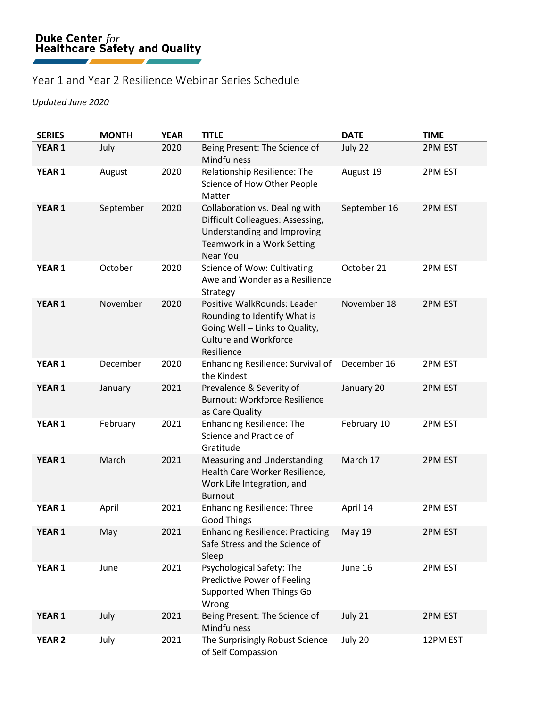## Year 1 and Year 2 Resilience Webinar Series Schedule

## *Updated June 2020*

| <b>SERIES</b> | <b>MONTH</b> | <b>YEAR</b> | <b>TITLE</b>                                                                                                                                       | <b>DATE</b>   | <b>TIME</b> |
|---------------|--------------|-------------|----------------------------------------------------------------------------------------------------------------------------------------------------|---------------|-------------|
| YEAR 1        | July         | 2020        | Being Present: The Science of<br><b>Mindfulness</b>                                                                                                | July 22       | 2PM EST     |
| YEAR 1        | August       | 2020        | Relationship Resilience: The<br>Science of How Other People<br>Matter                                                                              | August 19     | 2PM EST     |
| YEAR 1        | September    | 2020        | Collaboration vs. Dealing with<br>Difficult Colleagues: Assessing,<br>Understanding and Improving<br>Teamwork in a Work Setting<br><b>Near You</b> | September 16  | 2PM EST     |
| <b>YEAR 1</b> | October      | 2020        | Science of Wow: Cultivating<br>Awe and Wonder as a Resilience<br>Strategy                                                                          | October 21    | 2PM EST     |
| YEAR 1        | November     | 2020        | Positive WalkRounds: Leader<br>Rounding to Identify What is<br>Going Well - Links to Quality,<br><b>Culture and Workforce</b><br>Resilience        | November 18   | 2PM EST     |
| <b>YEAR 1</b> | December     | 2020        | Enhancing Resilience: Survival of<br>the Kindest                                                                                                   | December 16   | 2PM EST     |
| <b>YEAR 1</b> | January      | 2021        | Prevalence & Severity of<br><b>Burnout: Workforce Resilience</b><br>as Care Quality                                                                | January 20    | 2PM EST     |
| YEAR 1        | February     | 2021        | <b>Enhancing Resilience: The</b><br>Science and Practice of<br>Gratitude                                                                           | February 10   | 2PM EST     |
| YEAR 1        | March        | 2021        | Measuring and Understanding<br>Health Care Worker Resilience,<br>Work Life Integration, and<br><b>Burnout</b>                                      | March 17      | 2PM EST     |
| <b>YEAR 1</b> | April        | 2021        | <b>Enhancing Resilience: Three</b><br><b>Good Things</b>                                                                                           | April 14      | 2PM EST     |
| YEAR 1        | May          | 2021        | <b>Enhancing Resilience: Practicing</b><br>Safe Stress and the Science of<br>Sleep                                                                 | <b>May 19</b> | 2PM EST     |
| YEAR 1        | June         | 2021        | Psychological Safety: The<br><b>Predictive Power of Feeling</b><br>Supported When Things Go<br>Wrong                                               | June 16       | 2PM EST     |
| YEAR 1        | July         | 2021        | Being Present: The Science of<br>Mindfulness                                                                                                       | July 21       | 2PM EST     |
| <b>YEAR 2</b> | July         | 2021        | The Surprisingly Robust Science<br>of Self Compassion                                                                                              | July 20       | 12PM EST    |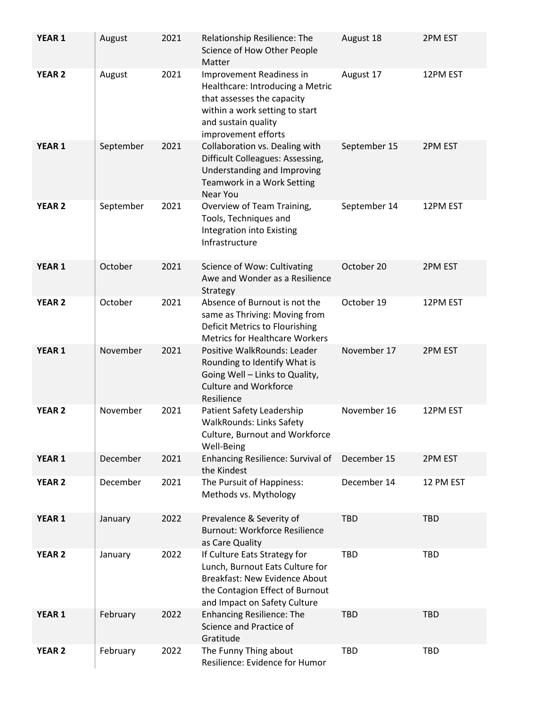| <b>YEAR 1</b>     | August    | 2021 | Relationship Resilience: The<br>Science of How Other People<br>Matter                                                                                                      | August 18    | 2PM EST    |
|-------------------|-----------|------|----------------------------------------------------------------------------------------------------------------------------------------------------------------------------|--------------|------------|
| <b>YEAR 2</b>     | August    | 2021 | Improvement Readiness in<br>Healthcare: Introducing a Metric<br>that assesses the capacity<br>within a work setting to start<br>and sustain quality<br>improvement efforts | August 17    | 12PM EST   |
| <b>YEAR 1</b>     | September | 2021 | Collaboration vs. Dealing with<br>Difficult Colleagues: Assessing,<br>Understanding and Improving<br>Teamwork in a Work Setting<br>Near You                                | September 15 | 2PM EST    |
| <b>YEAR 2</b>     | September | 2021 | Overview of Team Training,<br>Tools, Techniques and<br>Integration into Existing<br>Infrastructure                                                                         | September 14 | 12PM EST   |
| YEAR <sub>1</sub> | October   | 2021 | Science of Wow: Cultivating<br>Awe and Wonder as a Resilience<br>Strategy                                                                                                  | October 20   | 2PM EST    |
| <b>YEAR 2</b>     | October   | 2021 | Absence of Burnout is not the<br>same as Thriving: Moving from<br>Deficit Metrics to Flourishing<br><b>Metrics for Healthcare Workers</b>                                  | October 19   | 12PM EST   |
| <b>YEAR 1</b>     | November  | 2021 | Positive WalkRounds: Leader<br>Rounding to Identify What is<br>Going Well - Links to Quality,<br><b>Culture and Workforce</b><br>Resilience                                | November 17  | 2PM EST    |
| <b>YEAR 2</b>     | November  | 2021 | Patient Safety Leadership<br><b>WalkRounds: Links Safety</b><br>Culture, Burnout and Workforce<br>Well-Being                                                               | November 16  | 12PM EST   |
| YEAR 1            | December  | 2021 | Enhancing Resilience: Survival of<br>the Kindest                                                                                                                           | December 15  | 2PM EST    |
| <b>YEAR 2</b>     | December  | 2021 | The Pursuit of Happiness:<br>Methods vs. Mythology                                                                                                                         | December 14  | 12 PM EST  |
| YEAR 1            | January   | 2022 | Prevalence & Severity of<br><b>Burnout: Workforce Resilience</b><br>as Care Quality                                                                                        | <b>TBD</b>   | <b>TBD</b> |
| <b>YEAR 2</b>     | January   | 2022 | If Culture Eats Strategy for<br>Lunch, Burnout Eats Culture for<br><b>Breakfast: New Evidence About</b><br>the Contagion Effect of Burnout<br>and Impact on Safety Culture | TBD          | <b>TBD</b> |
| YEAR 1            | February  | 2022 | <b>Enhancing Resilience: The</b><br>Science and Practice of<br>Gratitude                                                                                                   | <b>TBD</b>   | <b>TBD</b> |
| <b>YEAR 2</b>     | February  | 2022 | The Funny Thing about<br>Resilience: Evidence for Humor                                                                                                                    | TBD          | <b>TBD</b> |